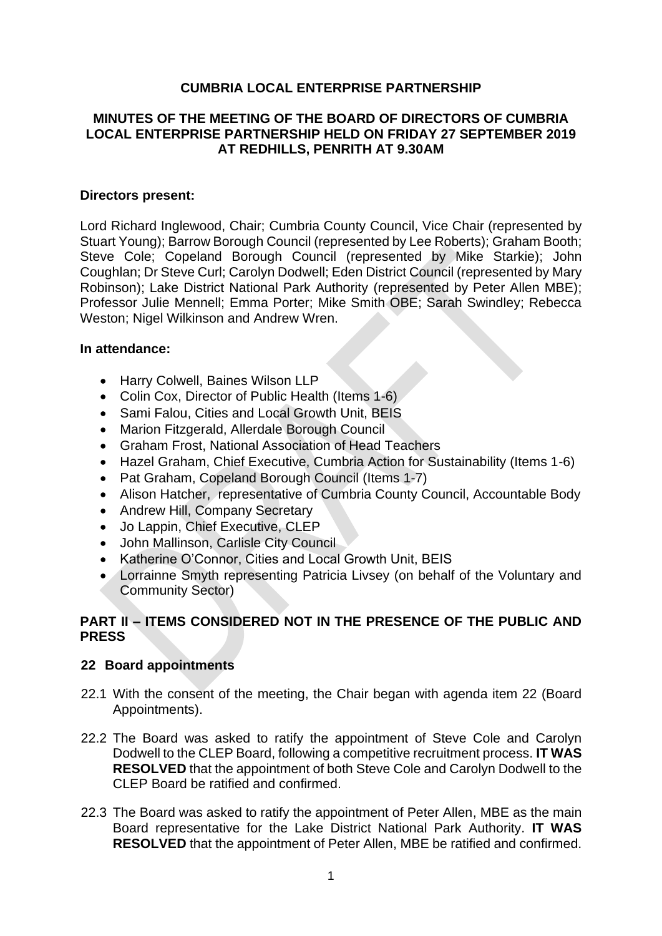# **CUMBRIA LOCAL ENTERPRISE PARTNERSHIP**

## **MINUTES OF THE MEETING OF THE BOARD OF DIRECTORS OF CUMBRIA LOCAL ENTERPRISE PARTNERSHIP HELD ON FRIDAY 27 SEPTEMBER 2019 AT REDHILLS, PENRITH AT 9.30AM**

#### **Directors present:**

Lord Richard Inglewood, Chair; Cumbria County Council, Vice Chair (represented by Stuart Young); Barrow Borough Council (represented by Lee Roberts); Graham Booth; Steve Cole; Copeland Borough Council (represented by Mike Starkie); John Coughlan; Dr Steve Curl; Carolyn Dodwell; Eden District Council (represented by Mary Robinson); Lake District National Park Authority (represented by Peter Allen MBE); Professor Julie Mennell; Emma Porter; Mike Smith OBE; Sarah Swindley; Rebecca Weston; Nigel Wilkinson and Andrew Wren.

#### **In attendance:**

- Harry Colwell, Baines Wilson LLP
- Colin Cox, Director of Public Health (Items 1-6)
- Sami Falou, Cities and Local Growth Unit, BEIS
- Marion Fitzgerald, Allerdale Borough Council
- Graham Frost, National Association of Head Teachers
- Hazel Graham, Chief Executive, Cumbria Action for Sustainability (Items 1-6)
- Pat Graham, Copeland Borough Council (Items 1-7)
- Alison Hatcher, representative of Cumbria County Council, Accountable Body
- Andrew Hill, Company Secretary
- Jo Lappin, Chief Executive, CLEP
- John Mallinson, Carlisle City Council
- Katherine O'Connor, Cities and Local Growth Unit, BEIS
- Lorrainne Smyth representing Patricia Livsey (on behalf of the Voluntary and Community Sector)

## **PART II – ITEMS CONSIDERED NOT IN THE PRESENCE OF THE PUBLIC AND PRESS**

## **22 Board appointments**

- 22.1 With the consent of the meeting, the Chair began with agenda item 22 (Board Appointments).
- 22.2 The Board was asked to ratify the appointment of Steve Cole and Carolyn Dodwell to the CLEP Board, following a competitive recruitment process. **IT WAS RESOLVED** that the appointment of both Steve Cole and Carolyn Dodwell to the CLEP Board be ratified and confirmed.
- 22.3 The Board was asked to ratify the appointment of Peter Allen, MBE as the main Board representative for the Lake District National Park Authority. **IT WAS RESOLVED** that the appointment of Peter Allen, MBE be ratified and confirmed.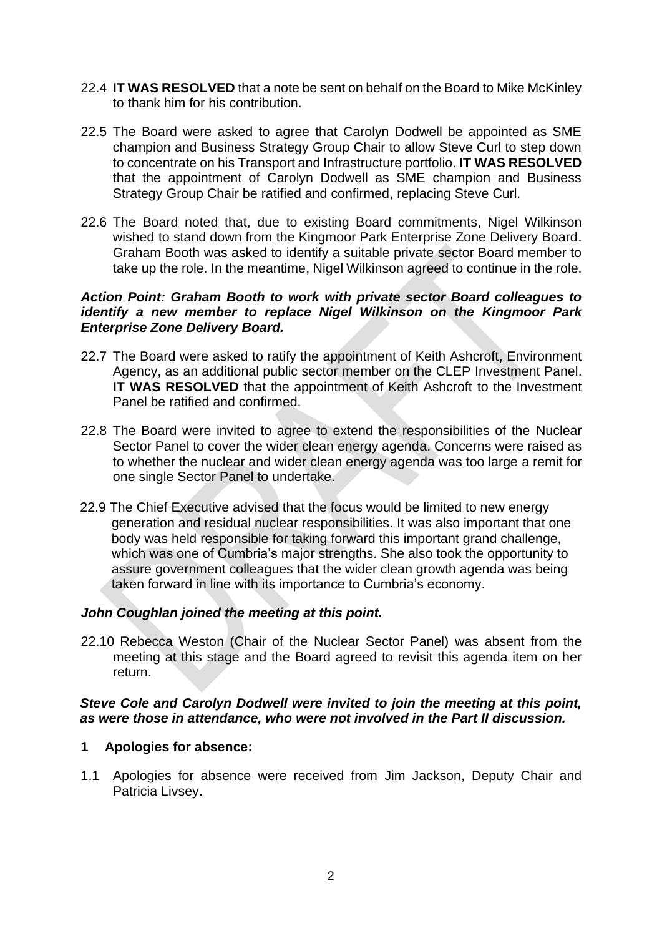- 22.4 **IT WAS RESOLVED** that a note be sent on behalf on the Board to Mike McKinley to thank him for his contribution.
- 22.5 The Board were asked to agree that Carolyn Dodwell be appointed as SME champion and Business Strategy Group Chair to allow Steve Curl to step down to concentrate on his Transport and Infrastructure portfolio. **IT WAS RESOLVED**  that the appointment of Carolyn Dodwell as SME champion and Business Strategy Group Chair be ratified and confirmed, replacing Steve Curl.
- 22.6 The Board noted that, due to existing Board commitments, Nigel Wilkinson wished to stand down from the Kingmoor Park Enterprise Zone Delivery Board. Graham Booth was asked to identify a suitable private sector Board member to take up the role. In the meantime, Nigel Wilkinson agreed to continue in the role.

#### *Action Point: Graham Booth to work with private sector Board colleagues to identify a new member to replace Nigel Wilkinson on the Kingmoor Park Enterprise Zone Delivery Board.*

- 22.7 The Board were asked to ratify the appointment of Keith Ashcroft, Environment Agency, as an additional public sector member on the CLEP Investment Panel. **IT WAS RESOLVED** that the appointment of Keith Ashcroft to the Investment Panel be ratified and confirmed.
- 22.8 The Board were invited to agree to extend the responsibilities of the Nuclear Sector Panel to cover the wider clean energy agenda. Concerns were raised as to whether the nuclear and wider clean energy agenda was too large a remit for one single Sector Panel to undertake.
- 22.9 The Chief Executive advised that the focus would be limited to new energy generation and residual nuclear responsibilities. It was also important that one body was held responsible for taking forward this important grand challenge, which was one of Cumbria's major strengths. She also took the opportunity to assure government colleagues that the wider clean growth agenda was being taken forward in line with its importance to Cumbria's economy.

## *John Coughlan joined the meeting at this point.*

22.10 Rebecca Weston (Chair of the Nuclear Sector Panel) was absent from the meeting at this stage and the Board agreed to revisit this agenda item on her return.

## *Steve Cole and Carolyn Dodwell were invited to join the meeting at this point, as were those in attendance, who were not involved in the Part II discussion.*

## **1 Apologies for absence:**

1.1 Apologies for absence were received from Jim Jackson, Deputy Chair and Patricia Livsey.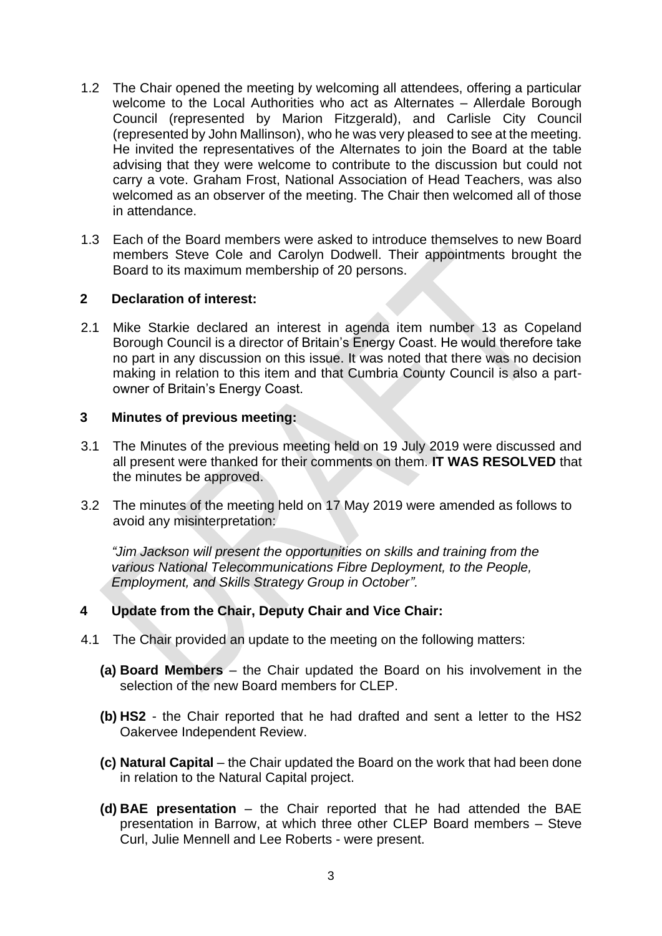- 1.2 The Chair opened the meeting by welcoming all attendees, offering a particular welcome to the Local Authorities who act as Alternates – Allerdale Borough Council (represented by Marion Fitzgerald), and Carlisle City Council (represented by John Mallinson), who he was very pleased to see at the meeting. He invited the representatives of the Alternates to join the Board at the table advising that they were welcome to contribute to the discussion but could not carry a vote. Graham Frost, National Association of Head Teachers, was also welcomed as an observer of the meeting. The Chair then welcomed all of those in attendance.
- 1.3 Each of the Board members were asked to introduce themselves to new Board members Steve Cole and Carolyn Dodwell. Their appointments brought the Board to its maximum membership of 20 persons.

#### **2 Declaration of interest:**

2.1 Mike Starkie declared an interest in agenda item number 13 as Copeland Borough Council is a director of Britain's Energy Coast. He would therefore take no part in any discussion on this issue. It was noted that there was no decision making in relation to this item and that Cumbria County Council is also a partowner of Britain's Energy Coast.

#### **3 Minutes of previous meeting:**

- 3.1 The Minutes of the previous meeting held on 19 July 2019 were discussed and all present were thanked for their comments on them. **IT WAS RESOLVED** that the minutes be approved.
- 3.2 The minutes of the meeting held on 17 May 2019 were amended as follows to avoid any misinterpretation:

*"Jim Jackson will present the opportunities on skills and training from the various National Telecommunications Fibre Deployment, to the People, Employment, and Skills Strategy Group in October".*

## **4 Update from the Chair, Deputy Chair and Vice Chair:**

- 4.1 The Chair provided an update to the meeting on the following matters:
	- **(a) Board Members**  the Chair updated the Board on his involvement in the selection of the new Board members for CLEP.
	- **(b) HS2** the Chair reported that he had drafted and sent a letter to the HS2 Oakervee Independent Review.
	- **(c) Natural Capital** the Chair updated the Board on the work that had been done in relation to the Natural Capital project.
	- **(d) BAE presentation** the Chair reported that he had attended the BAE presentation in Barrow, at which three other CLEP Board members – Steve Curl, Julie Mennell and Lee Roberts - were present.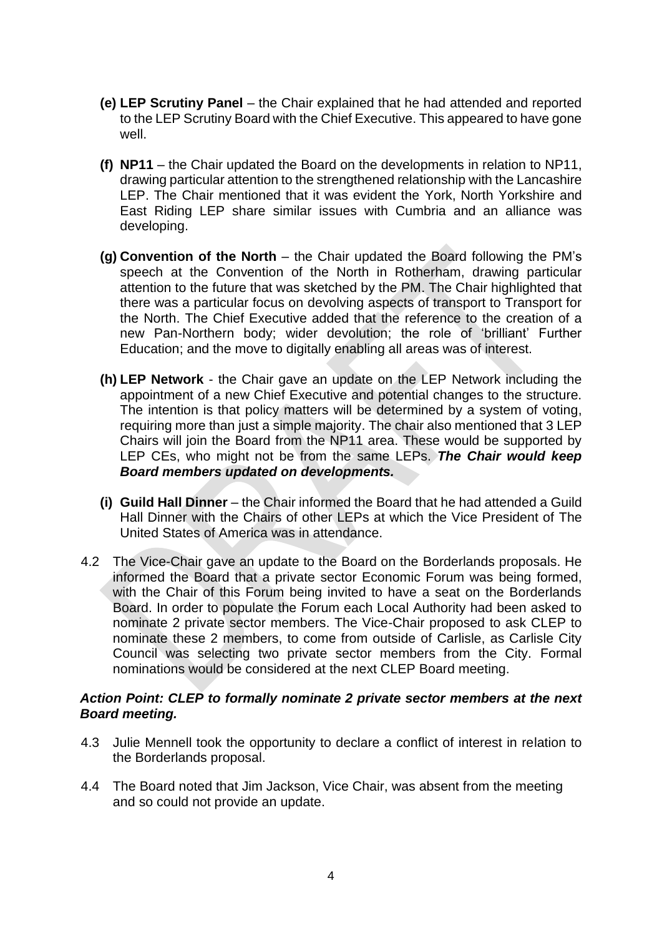- **(e) LEP Scrutiny Panel** the Chair explained that he had attended and reported to the LEP Scrutiny Board with the Chief Executive. This appeared to have gone well.
- **(f) NP11** the Chair updated the Board on the developments in relation to NP11, drawing particular attention to the strengthened relationship with the Lancashire LEP. The Chair mentioned that it was evident the York, North Yorkshire and East Riding LEP share similar issues with Cumbria and an alliance was developing.
- **(g) Convention of the North** the Chair updated the Board following the PM's speech at the Convention of the North in Rotherham, drawing particular attention to the future that was sketched by the PM. The Chair highlighted that there was a particular focus on devolving aspects of transport to Transport for the North. The Chief Executive added that the reference to the creation of a new Pan-Northern body; wider devolution; the role of 'brilliant' Further Education; and the move to digitally enabling all areas was of interest.
- **(h) LEP Network** the Chair gave an update on the LEP Network including the appointment of a new Chief Executive and potential changes to the structure. The intention is that policy matters will be determined by a system of voting, requiring more than just a simple majority. The chair also mentioned that 3 LEP Chairs will join the Board from the NP11 area. These would be supported by LEP CEs, who might not be from the same LEPs. *The Chair would keep Board members updated on developments.*
- **(i) Guild Hall Dinner** the Chair informed the Board that he had attended a Guild Hall Dinner with the Chairs of other LEPs at which the Vice President of The United States of America was in attendance.
- 4.2 The Vice-Chair gave an update to the Board on the Borderlands proposals. He informed the Board that a private sector Economic Forum was being formed, with the Chair of this Forum being invited to have a seat on the Borderlands Board. In order to populate the Forum each Local Authority had been asked to nominate 2 private sector members. The Vice-Chair proposed to ask CLEP to nominate these 2 members, to come from outside of Carlisle, as Carlisle City Council was selecting two private sector members from the City. Formal nominations would be considered at the next CLEP Board meeting.

## *Action Point: CLEP to formally nominate 2 private sector members at the next Board meeting.*

- 4.3 Julie Mennell took the opportunity to declare a conflict of interest in relation to the Borderlands proposal.
- 4.4 The Board noted that Jim Jackson, Vice Chair, was absent from the meeting and so could not provide an update.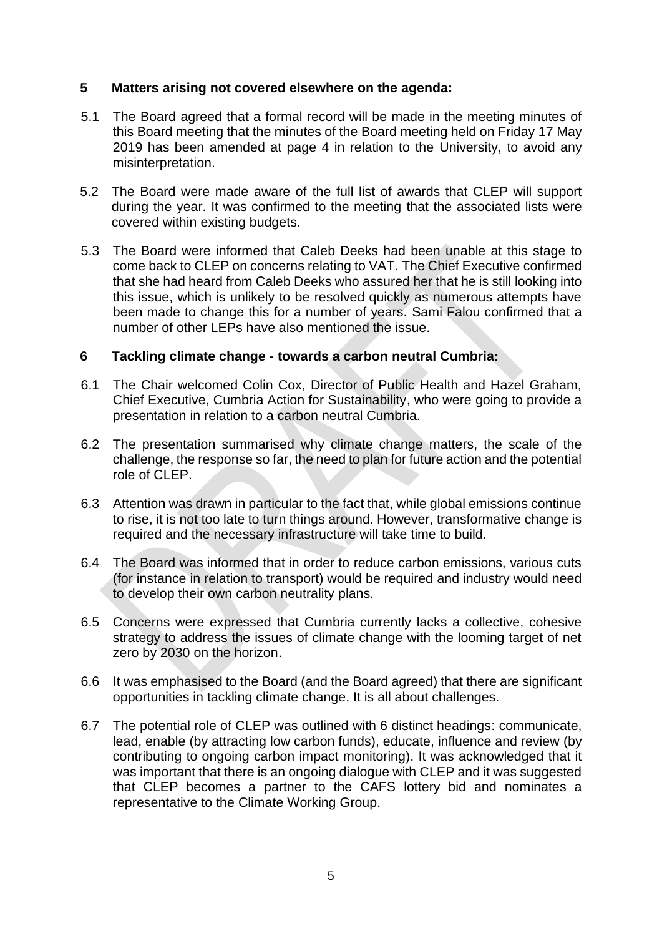## **5 Matters arising not covered elsewhere on the agenda:**

- 5.1 The Board agreed that a formal record will be made in the meeting minutes of this Board meeting that the minutes of the Board meeting held on Friday 17 May 2019 has been amended at page 4 in relation to the University, to avoid any misinterpretation.
- 5.2 The Board were made aware of the full list of awards that CLEP will support during the year. It was confirmed to the meeting that the associated lists were covered within existing budgets.
- 5.3 The Board were informed that Caleb Deeks had been unable at this stage to come back to CLEP on concerns relating to VAT. The Chief Executive confirmed that she had heard from Caleb Deeks who assured her that he is still looking into this issue, which is unlikely to be resolved quickly as numerous attempts have been made to change this for a number of years. Sami Falou confirmed that a number of other LEPs have also mentioned the issue.

## **6 Tackling climate change - towards a carbon neutral Cumbria:**

- 6.1 The Chair welcomed Colin Cox, Director of Public Health and Hazel Graham, Chief Executive, Cumbria Action for Sustainability, who were going to provide a presentation in relation to a carbon neutral Cumbria.
- 6.2 The presentation summarised why climate change matters, the scale of the challenge, the response so far, the need to plan for future action and the potential role of CLEP.
- 6.3 Attention was drawn in particular to the fact that, while global emissions continue to rise, it is not too late to turn things around. However, transformative change is required and the necessary infrastructure will take time to build.
- 6.4 The Board was informed that in order to reduce carbon emissions, various cuts (for instance in relation to transport) would be required and industry would need to develop their own carbon neutrality plans.
- 6.5 Concerns were expressed that Cumbria currently lacks a collective, cohesive strategy to address the issues of climate change with the looming target of net zero by 2030 on the horizon.
- 6.6 It was emphasised to the Board (and the Board agreed) that there are significant opportunities in tackling climate change. It is all about challenges.
- 6.7 The potential role of CLEP was outlined with 6 distinct headings: communicate, lead, enable (by attracting low carbon funds), educate, influence and review (by contributing to ongoing carbon impact monitoring). It was acknowledged that it was important that there is an ongoing dialogue with CLEP and it was suggested that CLEP becomes a partner to the CAFS lottery bid and nominates a representative to the Climate Working Group.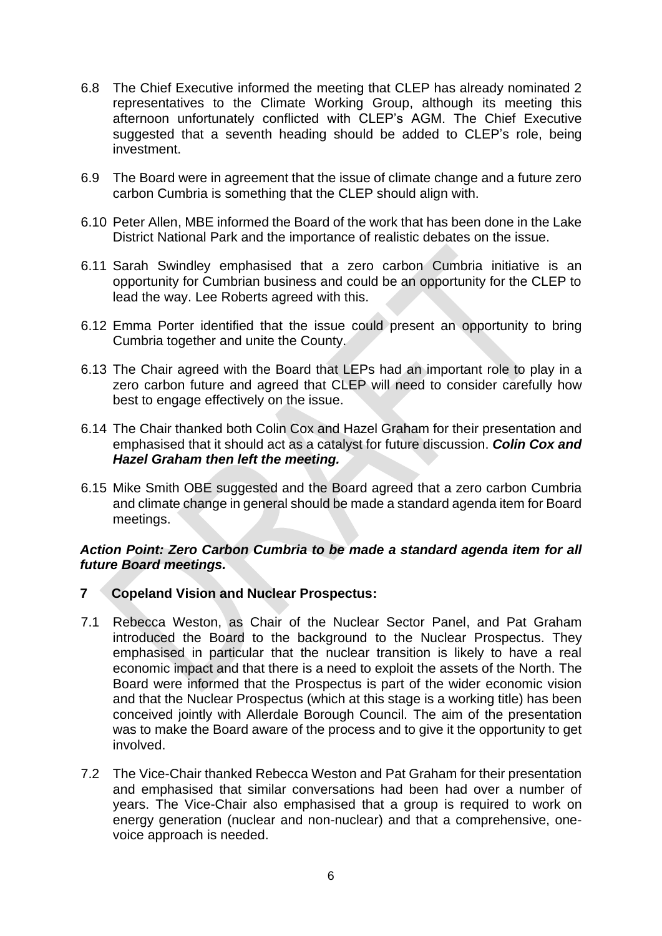- 6.8 The Chief Executive informed the meeting that CLEP has already nominated 2 representatives to the Climate Working Group, although its meeting this afternoon unfortunately conflicted with CLEP's AGM. The Chief Executive suggested that a seventh heading should be added to CLEP's role, being investment.
- 6.9 The Board were in agreement that the issue of climate change and a future zero carbon Cumbria is something that the CLEP should align with.
- 6.10 Peter Allen, MBE informed the Board of the work that has been done in the Lake District National Park and the importance of realistic debates on the issue.
- 6.11 Sarah Swindley emphasised that a zero carbon Cumbria initiative is an opportunity for Cumbrian business and could be an opportunity for the CLEP to lead the way. Lee Roberts agreed with this.
- 6.12 Emma Porter identified that the issue could present an opportunity to bring Cumbria together and unite the County.
- 6.13 The Chair agreed with the Board that LEPs had an important role to play in a zero carbon future and agreed that CLEP will need to consider carefully how best to engage effectively on the issue.
- 6.14 The Chair thanked both Colin Cox and Hazel Graham for their presentation and emphasised that it should act as a catalyst for future discussion. *Colin Cox and Hazel Graham then left the meeting.*
- 6.15 Mike Smith OBE suggested and the Board agreed that a zero carbon Cumbria and climate change in general should be made a standard agenda item for Board meetings.

## *Action Point: Zero Carbon Cumbria to be made a standard agenda item for all future Board meetings.*

## **7 Copeland Vision and Nuclear Prospectus:**

- 7.1 Rebecca Weston, as Chair of the Nuclear Sector Panel, and Pat Graham introduced the Board to the background to the Nuclear Prospectus. They emphasised in particular that the nuclear transition is likely to have a real economic impact and that there is a need to exploit the assets of the North. The Board were informed that the Prospectus is part of the wider economic vision and that the Nuclear Prospectus (which at this stage is a working title) has been conceived jointly with Allerdale Borough Council. The aim of the presentation was to make the Board aware of the process and to give it the opportunity to get involved.
- 7.2 The Vice-Chair thanked Rebecca Weston and Pat Graham for their presentation and emphasised that similar conversations had been had over a number of years. The Vice-Chair also emphasised that a group is required to work on energy generation (nuclear and non-nuclear) and that a comprehensive, onevoice approach is needed.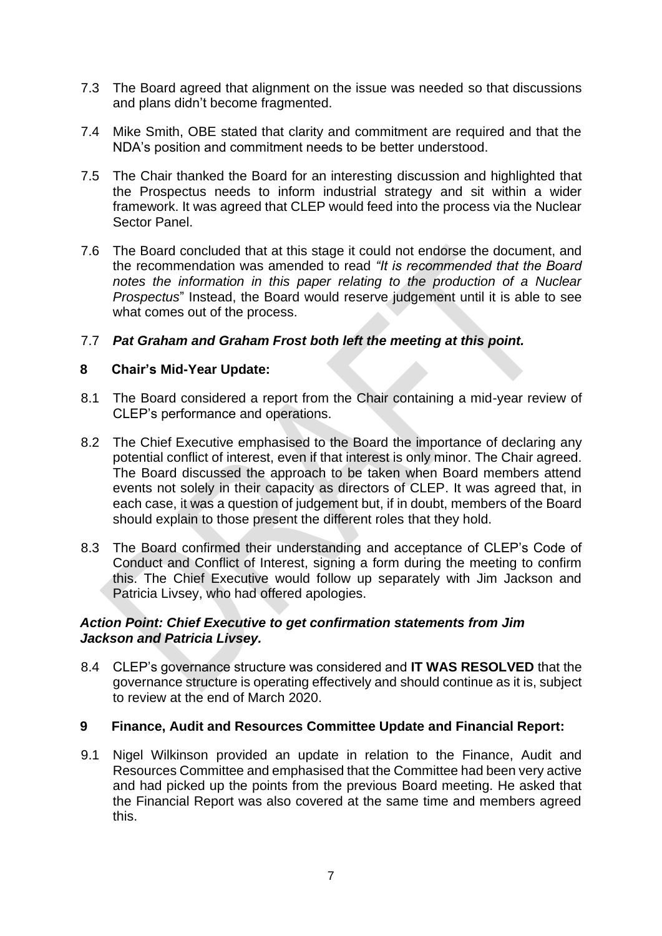- 7.3 The Board agreed that alignment on the issue was needed so that discussions and plans didn't become fragmented.
- 7.4 Mike Smith, OBE stated that clarity and commitment are required and that the NDA's position and commitment needs to be better understood.
- 7.5 The Chair thanked the Board for an interesting discussion and highlighted that the Prospectus needs to inform industrial strategy and sit within a wider framework. It was agreed that CLEP would feed into the process via the Nuclear Sector Panel.
- 7.6 The Board concluded that at this stage it could not endorse the document, and the recommendation was amended to read *"It is recommended that the Board*  notes the information in this paper relating to the production of a Nuclear *Prospectus*" Instead, the Board would reserve judgement until it is able to see what comes out of the process.

## 7.7 *Pat Graham and Graham Frost both left the meeting at this point.*

#### **8 Chair's Mid-Year Update:**

- 8.1 The Board considered a report from the Chair containing a mid-year review of CLEP's performance and operations.
- 8.2 The Chief Executive emphasised to the Board the importance of declaring any potential conflict of interest, even if that interest is only minor. The Chair agreed. The Board discussed the approach to be taken when Board members attend events not solely in their capacity as directors of CLEP. It was agreed that, in each case, it was a question of judgement but, if in doubt, members of the Board should explain to those present the different roles that they hold.
- 8.3 The Board confirmed their understanding and acceptance of CLEP's Code of Conduct and Conflict of Interest, signing a form during the meeting to confirm this. The Chief Executive would follow up separately with Jim Jackson and Patricia Livsey, who had offered apologies.

#### *Action Point: Chief Executive to get confirmation statements from Jim Jackson and Patricia Livsey.*

8.4 CLEP's governance structure was considered and **IT WAS RESOLVED** that the governance structure is operating effectively and should continue as it is, subject to review at the end of March 2020.

## **9 Finance, Audit and Resources Committee Update and Financial Report:**

9.1 Nigel Wilkinson provided an update in relation to the Finance, Audit and Resources Committee and emphasised that the Committee had been very active and had picked up the points from the previous Board meeting. He asked that the Financial Report was also covered at the same time and members agreed this.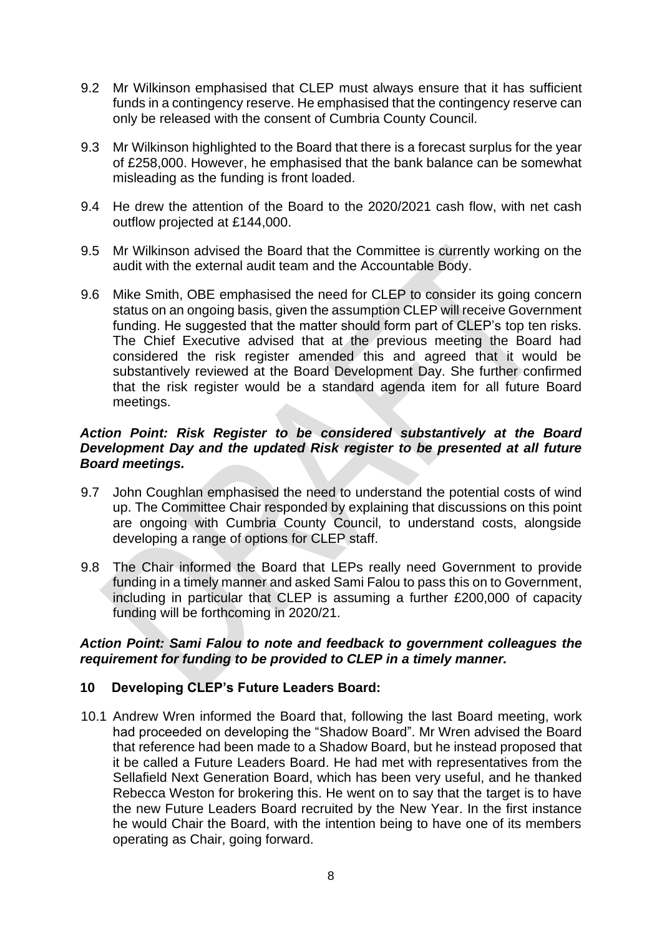- 9.2 Mr Wilkinson emphasised that CLEP must always ensure that it has sufficient funds in a contingency reserve. He emphasised that the contingency reserve can only be released with the consent of Cumbria County Council.
- 9.3 Mr Wilkinson highlighted to the Board that there is a forecast surplus for the year of £258,000. However, he emphasised that the bank balance can be somewhat misleading as the funding is front loaded.
- 9.4 He drew the attention of the Board to the 2020/2021 cash flow, with net cash outflow projected at £144,000.
- 9.5 Mr Wilkinson advised the Board that the Committee is currently working on the audit with the external audit team and the Accountable Body.
- 9.6 Mike Smith, OBE emphasised the need for CLEP to consider its going concern status on an ongoing basis, given the assumption CLEP will receive Government funding. He suggested that the matter should form part of CLEP's top ten risks. The Chief Executive advised that at the previous meeting the Board had considered the risk register amended this and agreed that it would be substantively reviewed at the Board Development Day. She further confirmed that the risk register would be a standard agenda item for all future Board meetings.

#### *Action Point: Risk Register to be considered substantively at the Board Development Day and the updated Risk register to be presented at all future Board meetings.*

- 9.7 John Coughlan emphasised the need to understand the potential costs of wind up. The Committee Chair responded by explaining that discussions on this point are ongoing with Cumbria County Council, to understand costs, alongside developing a range of options for CLEP staff.
- 9.8 The Chair informed the Board that LEPs really need Government to provide funding in a timely manner and asked Sami Falou to pass this on to Government, including in particular that CLEP is assuming a further £200,000 of capacity funding will be forthcoming in 2020/21.

#### *Action Point: Sami Falou to note and feedback to government colleagues the requirement for funding to be provided to CLEP in a timely manner.*

## **10 Developing CLEP's Future Leaders Board:**

10.1 Andrew Wren informed the Board that, following the last Board meeting, work had proceeded on developing the "Shadow Board". Mr Wren advised the Board that reference had been made to a Shadow Board, but he instead proposed that it be called a Future Leaders Board. He had met with representatives from the Sellafield Next Generation Board, which has been very useful, and he thanked Rebecca Weston for brokering this. He went on to say that the target is to have the new Future Leaders Board recruited by the New Year. In the first instance he would Chair the Board, with the intention being to have one of its members operating as Chair, going forward.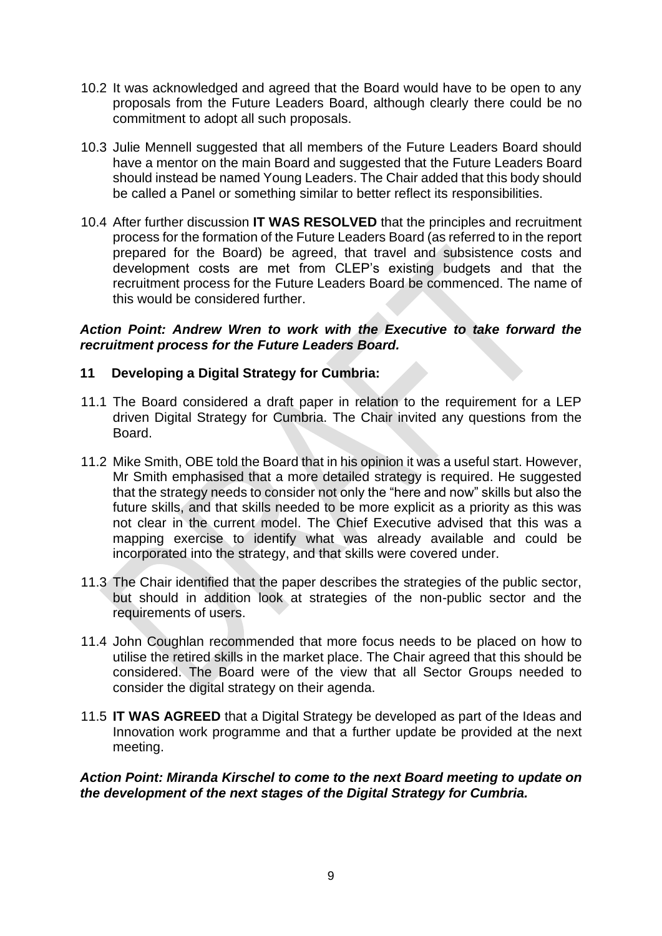- 10.2 It was acknowledged and agreed that the Board would have to be open to any proposals from the Future Leaders Board, although clearly there could be no commitment to adopt all such proposals.
- 10.3 Julie Mennell suggested that all members of the Future Leaders Board should have a mentor on the main Board and suggested that the Future Leaders Board should instead be named Young Leaders. The Chair added that this body should be called a Panel or something similar to better reflect its responsibilities.
- 10.4 After further discussion **IT WAS RESOLVED** that the principles and recruitment process for the formation of the Future Leaders Board (as referred to in the report prepared for the Board) be agreed, that travel and subsistence costs and development costs are met from CLEP's existing budgets and that the recruitment process for the Future Leaders Board be commenced. The name of this would be considered further.

#### *Action Point: Andrew Wren to work with the Executive to take forward the recruitment process for the Future Leaders Board.*

# **11 Developing a Digital Strategy for Cumbria:**

- 11.1 The Board considered a draft paper in relation to the requirement for a LEP driven Digital Strategy for Cumbria. The Chair invited any questions from the Board.
- 11.2 Mike Smith, OBE told the Board that in his opinion it was a useful start. However, Mr Smith emphasised that a more detailed strategy is required. He suggested that the strategy needs to consider not only the "here and now" skills but also the future skills, and that skills needed to be more explicit as a priority as this was not clear in the current model. The Chief Executive advised that this was a mapping exercise to identify what was already available and could be incorporated into the strategy, and that skills were covered under.
- 11.3 The Chair identified that the paper describes the strategies of the public sector, but should in addition look at strategies of the non-public sector and the requirements of users.
- 11.4 John Coughlan recommended that more focus needs to be placed on how to utilise the retired skills in the market place. The Chair agreed that this should be considered. The Board were of the view that all Sector Groups needed to consider the digital strategy on their agenda.
- 11.5 **IT WAS AGREED** that a Digital Strategy be developed as part of the Ideas and Innovation work programme and that a further update be provided at the next meeting.

*Action Point: Miranda Kirschel to come to the next Board meeting to update on the development of the next stages of the Digital Strategy for Cumbria.*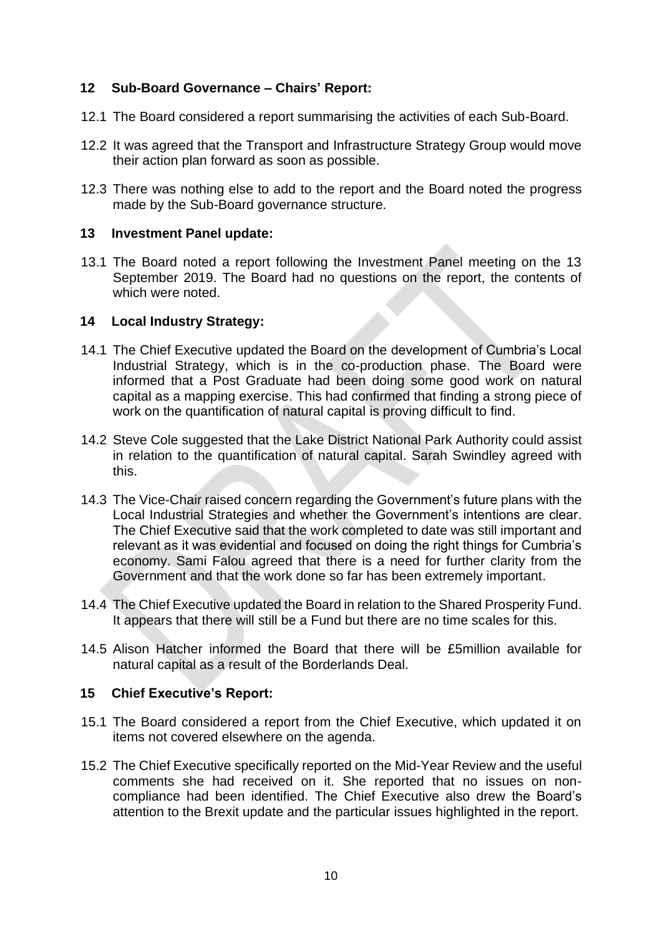# **12 Sub-Board Governance – Chairs' Report:**

- 12.1 The Board considered a report summarising the activities of each Sub-Board.
- 12.2 It was agreed that the Transport and Infrastructure Strategy Group would move their action plan forward as soon as possible.
- 12.3 There was nothing else to add to the report and the Board noted the progress made by the Sub-Board governance structure.

#### **13 Investment Panel update:**

13.1 The Board noted a report following the Investment Panel meeting on the 13 September 2019. The Board had no questions on the report, the contents of which were noted.

## **14 Local Industry Strategy:**

- 14.1 The Chief Executive updated the Board on the development of Cumbria's Local Industrial Strategy, which is in the co-production phase. The Board were informed that a Post Graduate had been doing some good work on natural capital as a mapping exercise. This had confirmed that finding a strong piece of work on the quantification of natural capital is proving difficult to find.
- 14.2 Steve Cole suggested that the Lake District National Park Authority could assist in relation to the quantification of natural capital. Sarah Swindley agreed with this.
- 14.3 The Vice-Chair raised concern regarding the Government's future plans with the Local Industrial Strategies and whether the Government's intentions are clear. The Chief Executive said that the work completed to date was still important and relevant as it was evidential and focused on doing the right things for Cumbria's economy. Sami Falou agreed that there is a need for further clarity from the Government and that the work done so far has been extremely important.
- 14.4 The Chief Executive updated the Board in relation to the Shared Prosperity Fund. It appears that there will still be a Fund but there are no time scales for this.
- 14.5 Alison Hatcher informed the Board that there will be £5million available for natural capital as a result of the Borderlands Deal.

## **15 Chief Executive's Report:**

- 15.1 The Board considered a report from the Chief Executive, which updated it on items not covered elsewhere on the agenda.
- 15.2 The Chief Executive specifically reported on the Mid-Year Review and the useful comments she had received on it. She reported that no issues on noncompliance had been identified. The Chief Executive also drew the Board's attention to the Brexit update and the particular issues highlighted in the report.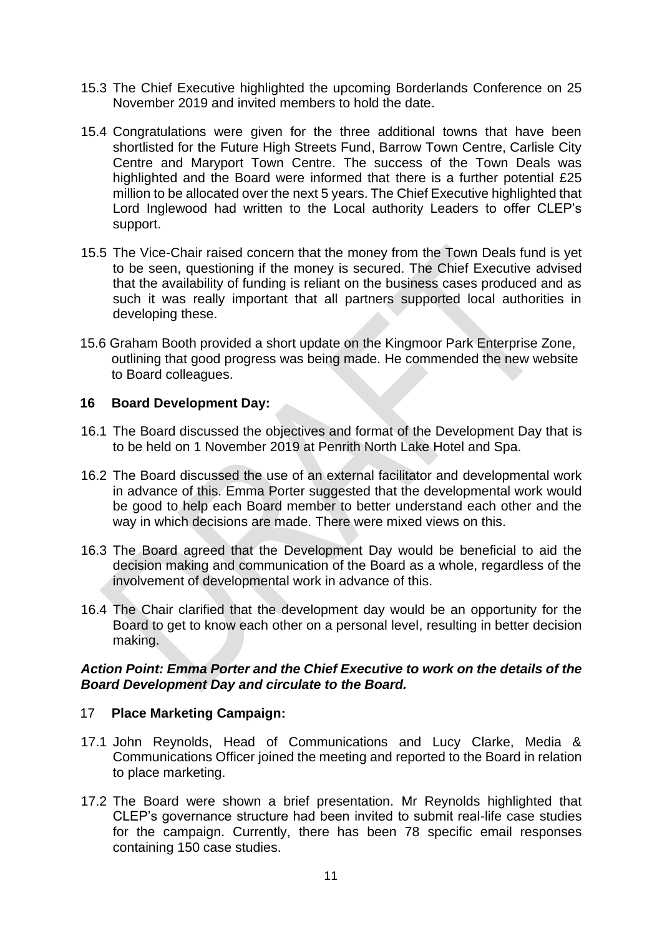- 15.3 The Chief Executive highlighted the upcoming Borderlands Conference on 25 November 2019 and invited members to hold the date.
- 15.4 Congratulations were given for the three additional towns that have been shortlisted for the Future High Streets Fund, Barrow Town Centre, Carlisle City Centre and Maryport Town Centre. The success of the Town Deals was highlighted and the Board were informed that there is a further potential £25 million to be allocated over the next 5 years. The Chief Executive highlighted that Lord Inglewood had written to the Local authority Leaders to offer CLEP's support.
- 15.5 The Vice-Chair raised concern that the money from the Town Deals fund is yet to be seen, questioning if the money is secured. The Chief Executive advised that the availability of funding is reliant on the business cases produced and as such it was really important that all partners supported local authorities in developing these.
- 15.6 Graham Booth provided a short update on the Kingmoor Park Enterprise Zone, outlining that good progress was being made. He commended the new website to Board colleagues.

## **16 Board Development Day:**

- 16.1 The Board discussed the objectives and format of the Development Day that is to be held on 1 November 2019 at Penrith North Lake Hotel and Spa.
- 16.2 The Board discussed the use of an external facilitator and developmental work in advance of this. Emma Porter suggested that the developmental work would be good to help each Board member to better understand each other and the way in which decisions are made. There were mixed views on this.
- 16.3 The Board agreed that the Development Day would be beneficial to aid the decision making and communication of the Board as a whole, regardless of the involvement of developmental work in advance of this.
- 16.4 The Chair clarified that the development day would be an opportunity for the Board to get to know each other on a personal level, resulting in better decision making.

## *Action Point: Emma Porter and the Chief Executive to work on the details of the Board Development Day and circulate to the Board.*

## 17 **Place Marketing Campaign:**

- 17.1 John Reynolds, Head of Communications and Lucy Clarke, Media & Communications Officer joined the meeting and reported to the Board in relation to place marketing.
- 17.2 The Board were shown a brief presentation. Mr Reynolds highlighted that CLEP's governance structure had been invited to submit real-life case studies for the campaign. Currently, there has been 78 specific email responses containing 150 case studies.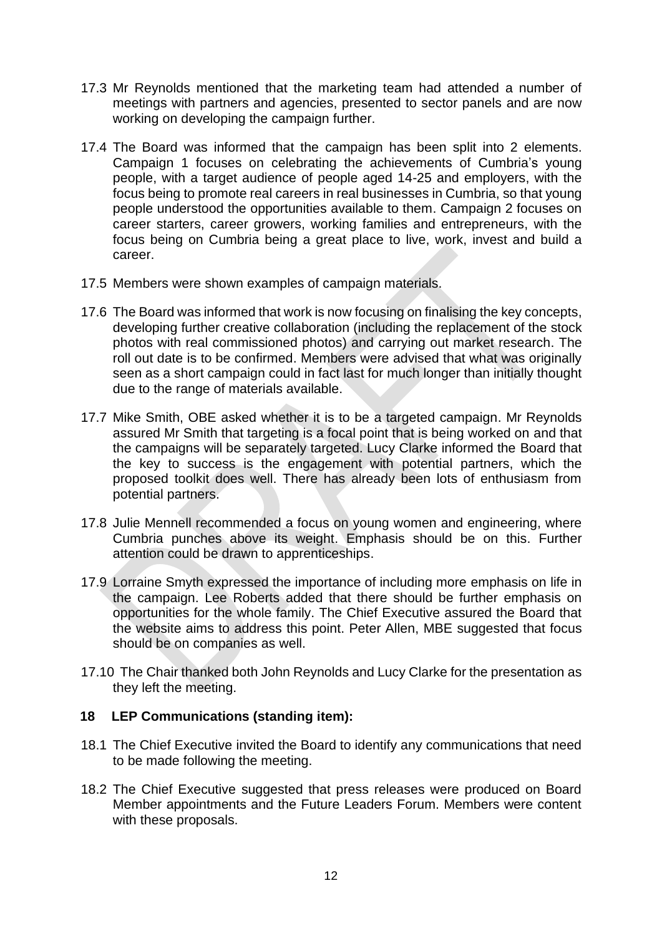- 17.3 Mr Reynolds mentioned that the marketing team had attended a number of meetings with partners and agencies, presented to sector panels and are now working on developing the campaign further.
- 17.4 The Board was informed that the campaign has been split into 2 elements. Campaign 1 focuses on celebrating the achievements of Cumbria's young people, with a target audience of people aged 14-25 and employers, with the focus being to promote real careers in real businesses in Cumbria, so that young people understood the opportunities available to them. Campaign 2 focuses on career starters, career growers, working families and entrepreneurs, with the focus being on Cumbria being a great place to live, work, invest and build a career.
- 17.5 Members were shown examples of campaign materials.
- 17.6 The Board was informed that work is now focusing on finalising the key concepts, developing further creative collaboration (including the replacement of the stock photos with real commissioned photos) and carrying out market research. The roll out date is to be confirmed. Members were advised that what was originally seen as a short campaign could in fact last for much longer than initially thought due to the range of materials available.
- 17.7 Mike Smith, OBE asked whether it is to be a targeted campaign. Mr Reynolds assured Mr Smith that targeting is a focal point that is being worked on and that the campaigns will be separately targeted. Lucy Clarke informed the Board that the key to success is the engagement with potential partners, which the proposed toolkit does well. There has already been lots of enthusiasm from potential partners.
- 17.8 Julie Mennell recommended a focus on young women and engineering, where Cumbria punches above its weight. Emphasis should be on this. Further attention could be drawn to apprenticeships.
- 17.9 Lorraine Smyth expressed the importance of including more emphasis on life in the campaign. Lee Roberts added that there should be further emphasis on opportunities for the whole family. The Chief Executive assured the Board that the website aims to address this point. Peter Allen, MBE suggested that focus should be on companies as well.
- 17.10 The Chair thanked both John Reynolds and Lucy Clarke for the presentation as they left the meeting.

# **18 LEP Communications (standing item):**

- 18.1 The Chief Executive invited the Board to identify any communications that need to be made following the meeting.
- 18.2 The Chief Executive suggested that press releases were produced on Board Member appointments and the Future Leaders Forum. Members were content with these proposals.